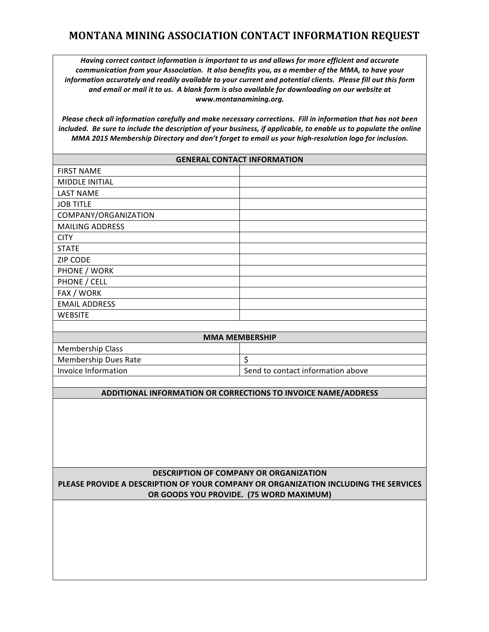## **MONTANA MINING ASSOCIATION CONTACT INFORMATION REQUEST**

*Having correct contact information is important to us and allows for more efficient and accurate communication from your Association. It also benefits you, as a member of the MMA, to have your information accurately and readily available to your current and potential clients. Please fill out this form and email or mail it to us. A blank form is also available for downloading on our website at www.montanamining.org.*

*Please check all information carefully and make necessary corrections. Fill in information that has not been included. Be sure to include the description of your business, if applicable, to enable us to populate the online MMA 2015 Membership Directory and don't forget to email us your high-resolution logo for inclusion.*

| <b>GENERAL CONTACT INFORMATION</b>                                                  |                                   |
|-------------------------------------------------------------------------------------|-----------------------------------|
| <b>FIRST NAME</b>                                                                   |                                   |
| MIDDLE INITIAL                                                                      |                                   |
| <b>LAST NAME</b>                                                                    |                                   |
| <b>JOB TITLE</b>                                                                    |                                   |
| COMPANY/ORGANIZATION                                                                |                                   |
| <b>MAILING ADDRESS</b>                                                              |                                   |
| <b>CITY</b>                                                                         |                                   |
| <b>STATE</b>                                                                        |                                   |
| <b>ZIP CODE</b>                                                                     |                                   |
| PHONE / WORK                                                                        |                                   |
| PHONE / CELL                                                                        |                                   |
| FAX / WORK                                                                          |                                   |
| <b>EMAIL ADDRESS</b>                                                                |                                   |
| <b>WEBSITE</b>                                                                      |                                   |
|                                                                                     |                                   |
| <b>MMA MEMBERSHIP</b>                                                               |                                   |
| <b>Membership Class</b>                                                             |                                   |
| <b>Membership Dues Rate</b>                                                         | \$                                |
| Invoice Information                                                                 | Send to contact information above |
|                                                                                     |                                   |
| ADDITIONAL INFORMATION OR CORRECTIONS TO INVOICE NAME/ADDRESS                       |                                   |
|                                                                                     |                                   |
|                                                                                     |                                   |
|                                                                                     |                                   |
|                                                                                     |                                   |
|                                                                                     |                                   |
|                                                                                     |                                   |
| <b>DESCRIPTION OF COMPANY OR ORGANIZATION</b>                                       |                                   |
| PLEASE PROVIDE A DESCRIPTION OF YOUR COMPANY OR ORGANIZATION INCLUDING THE SERVICES |                                   |
| OR GOODS YOU PROVIDE. (75 WORD MAXIMUM)                                             |                                   |
|                                                                                     |                                   |